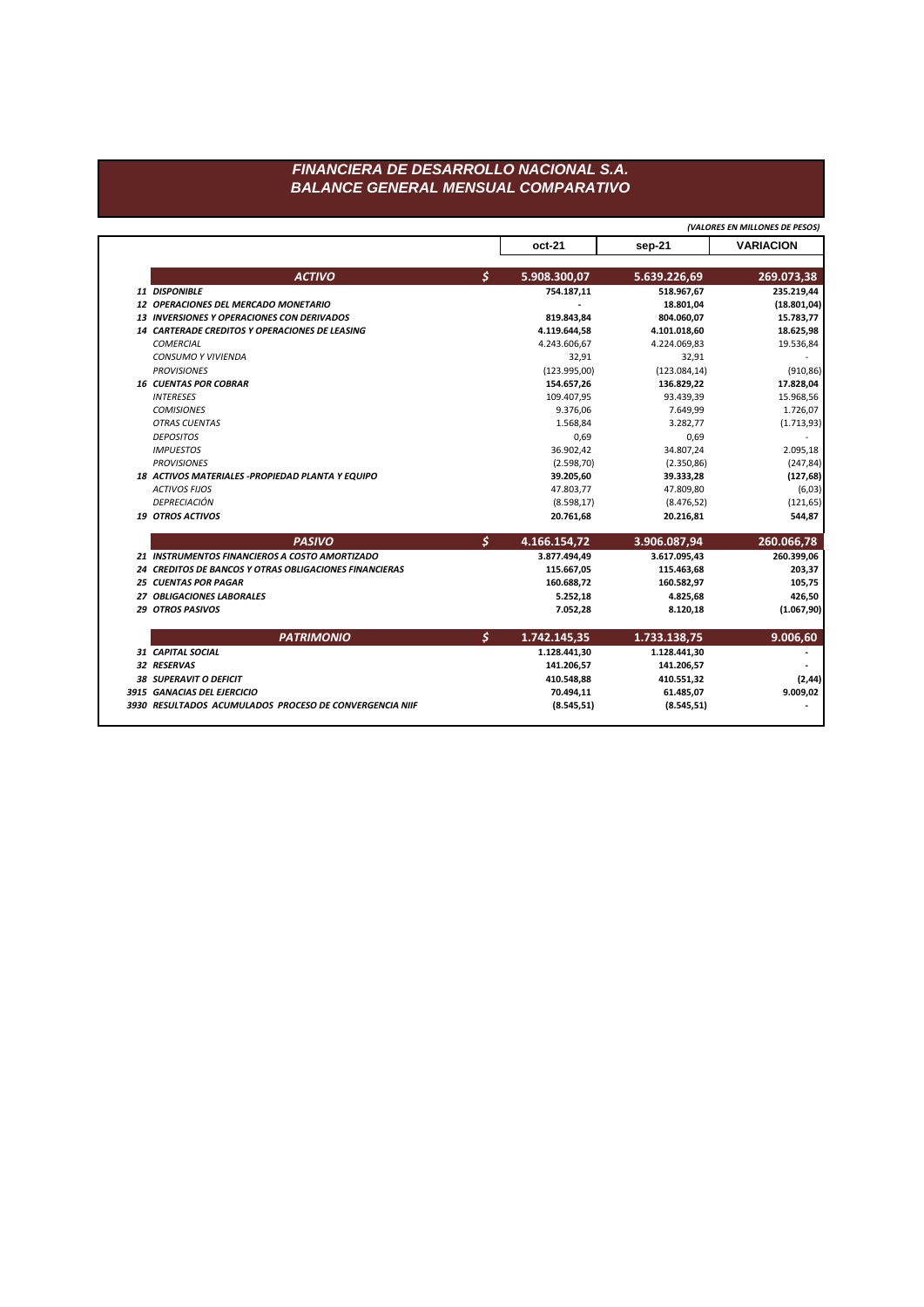## FINANCIERA DE DESARROLLO NACIONAL S.A. **BALANCE GENERAL MENSUAL COMPARATIVO**

|                                                        |               |              | (VALORES EN MILLONES DE PESOS) |                  |
|--------------------------------------------------------|---------------|--------------|--------------------------------|------------------|
|                                                        |               | $oct-21$     | sep-21                         | <b>VARIACION</b> |
| <b>ACTIVO</b>                                          | Ŝ.            | 5.908.300,07 | 5.639.226,69                   | 269.073,38       |
| 11 DISPONIBLE                                          |               | 754.187,11   | 518.967,67                     | 235.219,44       |
| 12 OPERACIONES DEL MERCADO MONETARIO                   |               |              | 18.801,04                      | (18.801, 04)     |
| <b>13 INVERSIONES Y OPERACIONES CON DERIVADOS</b>      |               | 819.843,84   | 804.060,07                     | 15.783,77        |
| 14 CARTERADE CREDITOS Y OPERACIONES DE LEASING         |               | 4.119.644,58 | 4.101.018,60                   | 18.625,98        |
| <b>COMERCIAL</b>                                       |               | 4.243.606,67 | 4.224.069,83                   | 19.536,84        |
| <b>CONSUMO Y VIVIENDA</b>                              |               | 32,91        | 32,91                          |                  |
| <b>PROVISIONES</b>                                     |               | (123.995,00) | (123.084, 14)                  | (910, 86)        |
| <b>16 CUENTAS POR COBRAR</b>                           |               | 154.657,26   | 136.829,22                     | 17.828,04        |
| <b>INTERESES</b>                                       |               | 109.407,95   | 93.439,39                      | 15.968,56        |
| <b>COMISIONES</b>                                      |               | 9.376.06     | 7.649,99                       | 1.726,07         |
| <b>OTRAS CUENTAS</b>                                   |               | 1.568,84     | 3.282.77                       | (1.713, 93)      |
| <b>DEPOSITOS</b>                                       |               | 0,69         | 0,69                           |                  |
| <b>IMPUESTOS</b>                                       |               | 36.902,42    | 34.807,24                      | 2.095,18         |
| <b>PROVISIONES</b>                                     |               | (2.598, 70)  | (2.350, 86)                    | (247, 84)        |
| 18 ACTIVOS MATERIALES - PROPIEDAD PLANTA Y EQUIPO      |               | 39.205,60    | 39.333,28                      | (127, 68)        |
| <b>ACTIVOS FIJOS</b>                                   |               | 47.803,77    | 47.809,80                      | (6,03)           |
| DEPRECIACIÓN                                           |               | (8.598, 17)  | (8.476, 52)                    | (121, 65)        |
| 19 OTROS ACTIVOS                                       |               | 20.761,68    | 20.216,81                      | 544,87           |
| <b>PASIVO</b>                                          | $\mathcal{S}$ | 4.166.154,72 | 3.906.087,94                   | 260.066,78       |
| 21 INSTRUMENTOS FINANCIEROS A COSTO AMORTIZADO         |               | 3.877.494,49 | 3.617.095,43                   | 260.399,06       |
| 24 CREDITOS DE BANCOS Y OTRAS OBLIGACIONES FINANCIERAS |               | 115.667,05   | 115.463,68                     | 203,37           |
| <b>25 CUENTAS POR PAGAR</b>                            |               | 160.688.72   | 160.582.97                     | 105,75           |
| 27 OBLIGACIONES LABORALES                              |               | 5.252,18     | 4.825,68                       | 426,50           |
| <b>29 OTROS PASIVOS</b>                                |               | 7.052,28     | 8.120,18                       | (1.067, 90)      |
| <b>PATRIMONIO</b>                                      | Ś.            | 1.742.145,35 | 1.733.138,75                   | 9.006,60         |
| 31 CAPITAL SOCIAL                                      |               | 1.128.441,30 | 1.128.441,30                   |                  |
| 32 RESERVAS                                            |               | 141.206,57   | 141.206,57                     |                  |
| <b>38 SUPERAVIT O DEFICIT</b>                          |               | 410.548,88   | 410.551,32                     | (2, 44)          |
|                                                        |               |              |                                |                  |
| 3915 GANACIAS DEL EJERCICIO                            |               | 70.494,11    | 61.485,07                      | 9.009,02         |